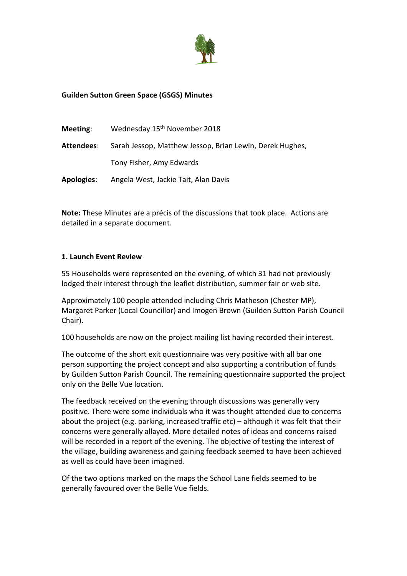

# **Guilden Sutton Green Space (GSGS) Minutes**

| Meeting:          | Wednesday 15 <sup>th</sup> November 2018                 |
|-------------------|----------------------------------------------------------|
| Attendees:        | Sarah Jessop, Matthew Jessop, Brian Lewin, Derek Hughes, |
|                   | Tony Fisher, Amy Edwards                                 |
| <b>Apologies:</b> | Angela West, Jackie Tait, Alan Davis                     |

**Note:** These Minutes are a précis of the discussions that took place. Actions are detailed in a separate document.

#### **1. Launch Event Review**

55 Households were represented on the evening, of which 31 had not previously lodged their interest through the leaflet distribution, summer fair or web site.

Approximately 100 people attended including Chris Matheson (Chester MP), Margaret Parker (Local Councillor) and Imogen Brown (Guilden Sutton Parish Council Chair).

100 households are now on the project mailing list having recorded their interest.

The outcome of the short exit questionnaire was very positive with all bar one person supporting the project concept and also supporting a contribution of funds by Guilden Sutton Parish Council. The remaining questionnaire supported the project only on the Belle Vue location.

The feedback received on the evening through discussions was generally very positive. There were some individuals who it was thought attended due to concerns about the project (e.g. parking, increased traffic etc) – although it was felt that their concerns were generally allayed. More detailed notes of ideas and concerns raised will be recorded in a report of the evening. The objective of testing the interest of the village, building awareness and gaining feedback seemed to have been achieved as well as could have been imagined.

Of the two options marked on the maps the School Lane fields seemed to be generally favoured over the Belle Vue fields.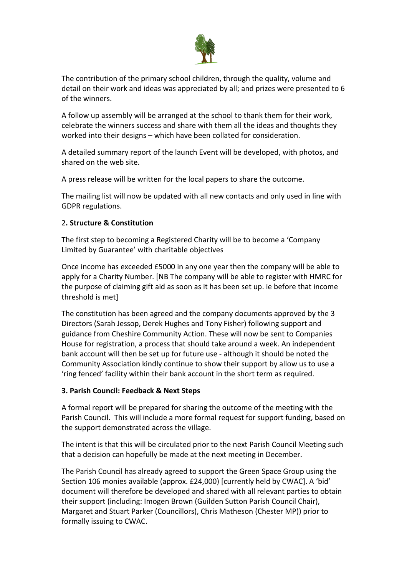

The contribution of the primary school children, through the quality, volume and detail on their work and ideas was appreciated by all; and prizes were presented to 6 of the winners.

A follow up assembly will be arranged at the school to thank them for their work, celebrate the winners success and share with them all the ideas and thoughts they worked into their designs – which have been collated for consideration.

A detailed summary report of the launch Event will be developed, with photos, and shared on the web site.

A press release will be written for the local papers to share the outcome.

The mailing list will now be updated with all new contacts and only used in line with GDPR regulations.

## 2**. Structure & Constitution**

The first step to becoming a Registered Charity will be to become a 'Company Limited by Guarantee' with charitable objectives

Once income has exceeded £5000 in any one year then the company will be able to apply for a Charity Number. [NB The company will be able to register with HMRC for the purpose of claiming gift aid as soon as it has been set up. ie before that income threshold is met]

The constitution has been agreed and the company documents approved by the 3 Directors (Sarah Jessop, Derek Hughes and Tony Fisher) following support and guidance from Cheshire Community Action. These will now be sent to Companies House for registration, a process that should take around a week. An independent bank account will then be set up for future use - although it should be noted the Community Association kindly continue to show their support by allow us to use a 'ring fenced' facility within their bank account in the short term as required.

### **3. Parish Council: Feedback & Next Steps**

A formal report will be prepared for sharing the outcome of the meeting with the Parish Council. This will include a more formal request for support funding, based on the support demonstrated across the village.

The intent is that this will be circulated prior to the next Parish Council Meeting such that a decision can hopefully be made at the next meeting in December.

The Parish Council has already agreed to support the Green Space Group using the Section 106 monies available (approx. £24,000) [currently held by CWAC]. A 'bid' document will therefore be developed and shared with all relevant parties to obtain their support (including: Imogen Brown (Guilden Sutton Parish Council Chair), Margaret and Stuart Parker (Councillors), Chris Matheson (Chester MP)) prior to formally issuing to CWAC.